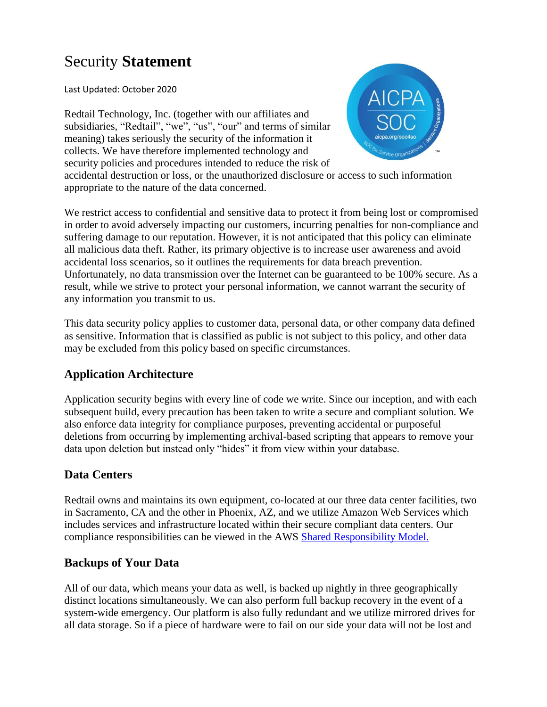# Security **Statement**

Last Updated: October 2020

Redtail Technology, Inc. (together with our affiliates and subsidiaries, "Redtail", "we", "us", "our" and terms of similar meaning) takes seriously the security of the information it collects. We have therefore implemented technology and security policies and procedures intended to reduce the risk of



accidental destruction or loss, or the unauthorized disclosure or access to such information appropriate to the nature of the data concerned.

We restrict access to confidential and sensitive data to protect it from being lost or compromised in order to avoid adversely impacting our customers, incurring penalties for non-compliance and suffering damage to our reputation. However, it is not anticipated that this policy can eliminate all malicious data theft. Rather, its primary objective is to increase user awareness and avoid accidental loss scenarios, so it outlines the requirements for data breach prevention. Unfortunately, no data transmission over the Internet can be guaranteed to be 100% secure. As a result, while we strive to protect your personal information, we cannot warrant the security of any information you transmit to us.

This data security policy applies to customer data, personal data, or other company data defined as sensitive. Information that is classified as public is not subject to this policy, and other data may be excluded from this policy based on specific circumstances.

## **Application Architecture**

Application security begins with every line of code we write. Since our inception, and with each subsequent build, every precaution has been taken to write a secure and compliant solution. We also enforce data integrity for compliance purposes, preventing accidental or purposeful deletions from occurring by implementing archival-based scripting that appears to remove your data upon deletion but instead only "hides" it from view within your database.

## **Data Centers**

Redtail owns and maintains its own equipment, co-located at our three data center facilities, two in Sacramento, CA and the other in Phoenix, AZ, and we utilize Amazon Web Services which includes services and infrastructure located within their secure compliant data centers. Our compliance responsibilities can be viewed in the AWS [Shared Responsibility Model.](https://aws.amazon.com/compliance/shared-responsibility-model/)

## **Backups of Your Data**

All of our data, which means your data as well, is backed up nightly in three geographically distinct locations simultaneously. We can also perform full backup recovery in the event of a system-wide emergency. Our platform is also fully redundant and we utilize mirrored drives for all data storage. So if a piece of hardware were to fail on our side your data will not be lost and